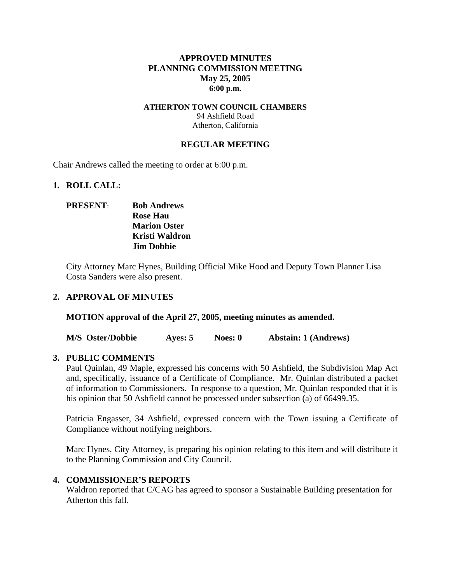# **APPROVED MINUTES PLANNING COMMISSION MEETING May 25, 2005 6:00 p.m.**

#### **ATHERTON TOWN COUNCIL CHAMBERS**  94 Ashfield Road Atherton, California

### **REGULAR MEETING**

Chair Andrews called the meeting to order at 6:00 p.m.

#### **1. ROLL CALL:**

# **PRESENT**: **Bob Andrews Rose Hau Marion Oster Kristi Waldron Jim Dobbie**

City Attorney Marc Hynes, Building Official Mike Hood and Deputy Town Planner Lisa Costa Sanders were also present.

### **2. APPROVAL OF MINUTES**

**MOTION approval of the April 27, 2005, meeting minutes as amended.** 

**M/S Oster/Dobbie Ayes: 5 Noes: 0 Abstain: 1 (Andrews)** 

### **3. PUBLIC COMMENTS**

Paul Quinlan, 49 Maple, expressed his concerns with 50 Ashfield, the Subdivision Map Act and, specifically, issuance of a Certificate of Compliance. Mr. Quinlan distributed a packet of information to Commissioners. In response to a question, Mr. Quinlan responded that it is his opinion that 50 Ashfield cannot be processed under subsection (a) of 66499.35.

Patricia Engasser, 34 Ashfield, expressed concern with the Town issuing a Certificate of Compliance without notifying neighbors.

Marc Hynes, City Attorney, is preparing his opinion relating to this item and will distribute it to the Planning Commission and City Council.

### **4. COMMISSIONER'S REPORTS**

Waldron reported that C/CAG has agreed to sponsor a Sustainable Building presentation for Atherton this fall.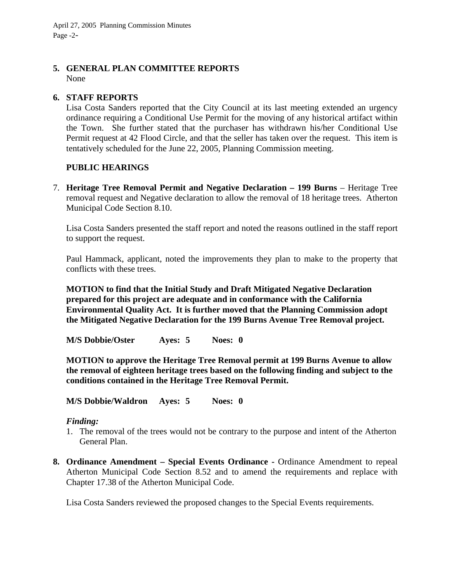April 27, 2005 Planning Commission Minutes Page -2-

# **5. GENERAL PLAN COMMITTEE REPORTS**

None

#### **6. STAFF REPORTS**

Lisa Costa Sanders reported that the City Council at its last meeting extended an urgency ordinance requiring a Conditional Use Permit for the moving of any historical artifact within the Town. She further stated that the purchaser has withdrawn his/her Conditional Use Permit request at 42 Flood Circle, and that the seller has taken over the request. This item is tentatively scheduled for the June 22, 2005, Planning Commission meeting.

### **PUBLIC HEARINGS**

7. **Heritage Tree Removal Permit and Negative Declaration – 199 Burns** – Heritage Tree removal request and Negative declaration to allow the removal of 18 heritage trees. Atherton Municipal Code Section 8.10.

Lisa Costa Sanders presented the staff report and noted the reasons outlined in the staff report to support the request.

Paul Hammack, applicant, noted the improvements they plan to make to the property that conflicts with these trees.

**MOTION to find that the Initial Study and Draft Mitigated Negative Declaration prepared for this project are adequate and in conformance with the California Environmental Quality Act. It is further moved that the Planning Commission adopt the Mitigated Negative Declaration for the 199 Burns Avenue Tree Removal project.** 

**M/S Dobbie/Oster Ayes: 5 Noes: 0** 

**MOTION to approve the Heritage Tree Removal permit at 199 Burns Avenue to allow the removal of eighteen heritage trees based on the following finding and subject to the conditions contained in the Heritage Tree Removal Permit.** 

**M/S Dobbie/Waldron Ayes: 5 Noes: 0** 

#### *Finding:*

- 1. The removal of the trees would not be contrary to the purpose and intent of the Atherton General Plan.
- **8. Ordinance Amendment Special Events Ordinance -** Ordinance Amendment to repeal Atherton Municipal Code Section 8.52 and to amend the requirements and replace with Chapter 17.38 of the Atherton Municipal Code.

Lisa Costa Sanders reviewed the proposed changes to the Special Events requirements.